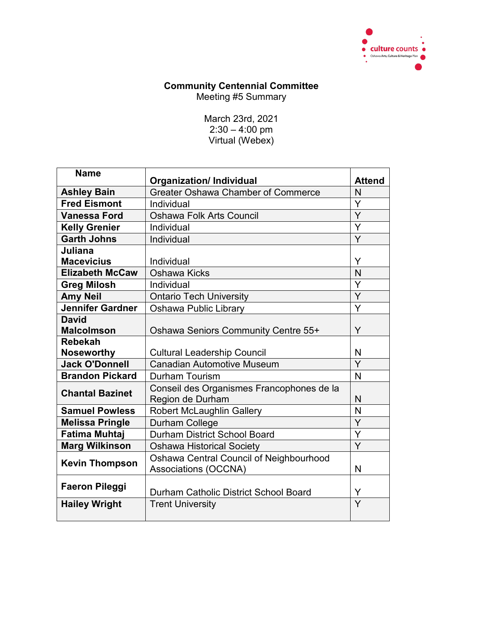

## **Community Centennial Committee**

Meeting #5 Summary

March 23rd, 2021 2:30 – 4:00 pm Virtual (Webex)

| <b>Name</b>            | <b>Organization/Individual</b>                                         | <b>Attend</b> |
|------------------------|------------------------------------------------------------------------|---------------|
| <b>Ashley Bain</b>     | <b>Greater Oshawa Chamber of Commerce</b>                              | N             |
| <b>Fred Eismont</b>    | Individual                                                             | Y             |
| <b>Vanessa Ford</b>    | <b>Oshawa Folk Arts Council</b>                                        | Ÿ             |
| <b>Kelly Grenier</b>   | Individual                                                             | Y             |
| <b>Garth Johns</b>     | Individual                                                             | Y             |
| Juliana                |                                                                        |               |
| <b>Macevicius</b>      | Individual                                                             | Y             |
| <b>Elizabeth McCaw</b> | Oshawa Kicks                                                           | N             |
| <b>Greg Milosh</b>     | Individual                                                             | Y             |
| <b>Amy Neil</b>        | <b>Ontario Tech University</b>                                         | Y             |
| Jennifer Gardner       | <b>Oshawa Public Library</b>                                           | Ý             |
| <b>David</b>           |                                                                        |               |
| <b>Malcolmson</b>      | <b>Oshawa Seniors Community Centre 55+</b>                             | Y             |
| <b>Rebekah</b>         |                                                                        |               |
| <b>Noseworthy</b>      | <b>Cultural Leadership Council</b>                                     | N             |
| <b>Jack O'Donnell</b>  | <b>Canadian Automotive Museum</b>                                      | Y             |
| <b>Brandon Pickard</b> | <b>Durham Tourism</b>                                                  | N             |
| <b>Chantal Bazinet</b> | Conseil des Organismes Francophones de la<br>Region de Durham          | N             |
| <b>Samuel Powless</b>  | <b>Robert McLaughlin Gallery</b>                                       | N             |
| <b>Melissa Pringle</b> | Durham College                                                         | Y             |
| <b>Fatima Muhtaj</b>   | <b>Durham District School Board</b>                                    | Y             |
| <b>Marg Wilkinson</b>  | <b>Oshawa Historical Society</b>                                       | Ÿ             |
| <b>Kevin Thompson</b>  | Oshawa Central Council of Neighbourhood<br><b>Associations (OCCNA)</b> | N             |
| <b>Faeron Pileggi</b>  | Durham Catholic District School Board                                  | Y             |
| <b>Hailey Wright</b>   | <b>Trent University</b>                                                | Y             |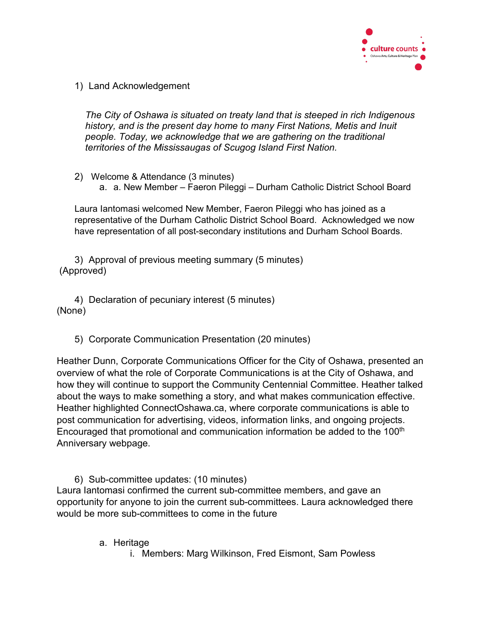

1) Land Acknowledgement

*The City of Oshawa is situated on treaty land that is steeped in rich Indigenous history, and is the present day home to many First Nations, Metis and Inuit people. Today, we acknowledge that we are gathering on the traditional territories of the Mississaugas of Scugog Island First Nation.*

2) Welcome & Attendance (3 minutes) a. a. New Member – Faeron Pileggi – Durham Catholic District School Board

Laura Iantomasi welcomed New Member, Faeron Pileggi who has joined as a representative of the Durham Catholic District School Board. Acknowledged we now have representation of all post-secondary institutions and Durham School Boards.

3) Approval of previous meeting summary (5 minutes) (Approved)

4) Declaration of pecuniary interest (5 minutes) (None)

5) Corporate Communication Presentation (20 minutes)

Heather Dunn, Corporate Communications Officer for the City of Oshawa, presented an overview of what the role of Corporate Communications is at the City of Oshawa, and how they will continue to support the Community Centennial Committee. Heather talked about the ways to make something a story, and what makes communication effective. Heather highlighted ConnectOshawa.ca, where corporate communications is able to post communication for advertising, videos, information links, and ongoing projects. Encouraged that promotional and communication information be added to the 100<sup>th</sup> Anniversary webpage.

6) Sub-committee updates: (10 minutes) Laura Iantomasi confirmed the current sub-committee members, and gave an opportunity for anyone to join the current sub-committees. Laura acknowledged there would be more sub-committees to come in the future

- a. Heritage
	- i. Members: Marg Wilkinson, Fred Eismont, Sam Powless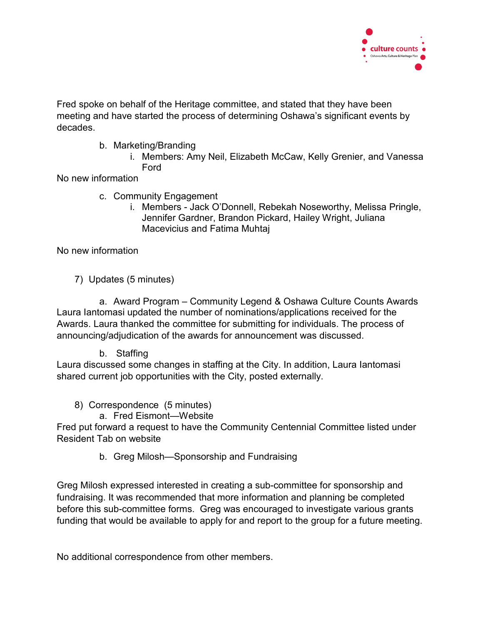

Fred spoke on behalf of the Heritage committee, and stated that they have been meeting and have started the process of determining Oshawa's significant events by decades.

- b. Marketing/Branding
	- i. Members: Amy Neil, Elizabeth McCaw, Kelly Grenier, and Vanessa Ford

No new information

- c. Community Engagement
	- i. Members Jack O'Donnell, Rebekah Noseworthy, Melissa Pringle, Jennifer Gardner, Brandon Pickard, Hailey Wright, Juliana Macevicius and Fatima Muhtaj

No new information

7) Updates (5 minutes)

a. Award Program – Community Legend & Oshawa Culture Counts Awards Laura Iantomasi updated the number of nominations/applications received for the Awards. Laura thanked the committee for submitting for individuals. The process of announcing/adjudication of the awards for announcement was discussed.

b. Staffing

Laura discussed some changes in staffing at the City. In addition, Laura Iantomasi shared current job opportunities with the City, posted externally.

- 8) Correspondence (5 minutes)
	- a. Fred Eismont—Website

Fred put forward a request to have the Community Centennial Committee listed under Resident Tab on website

b. Greg Milosh—Sponsorship and Fundraising

Greg Milosh expressed interested in creating a sub-committee for sponsorship and fundraising. It was recommended that more information and planning be completed before this sub-committee forms. Greg was encouraged to investigate various grants funding that would be available to apply for and report to the group for a future meeting.

No additional correspondence from other members.